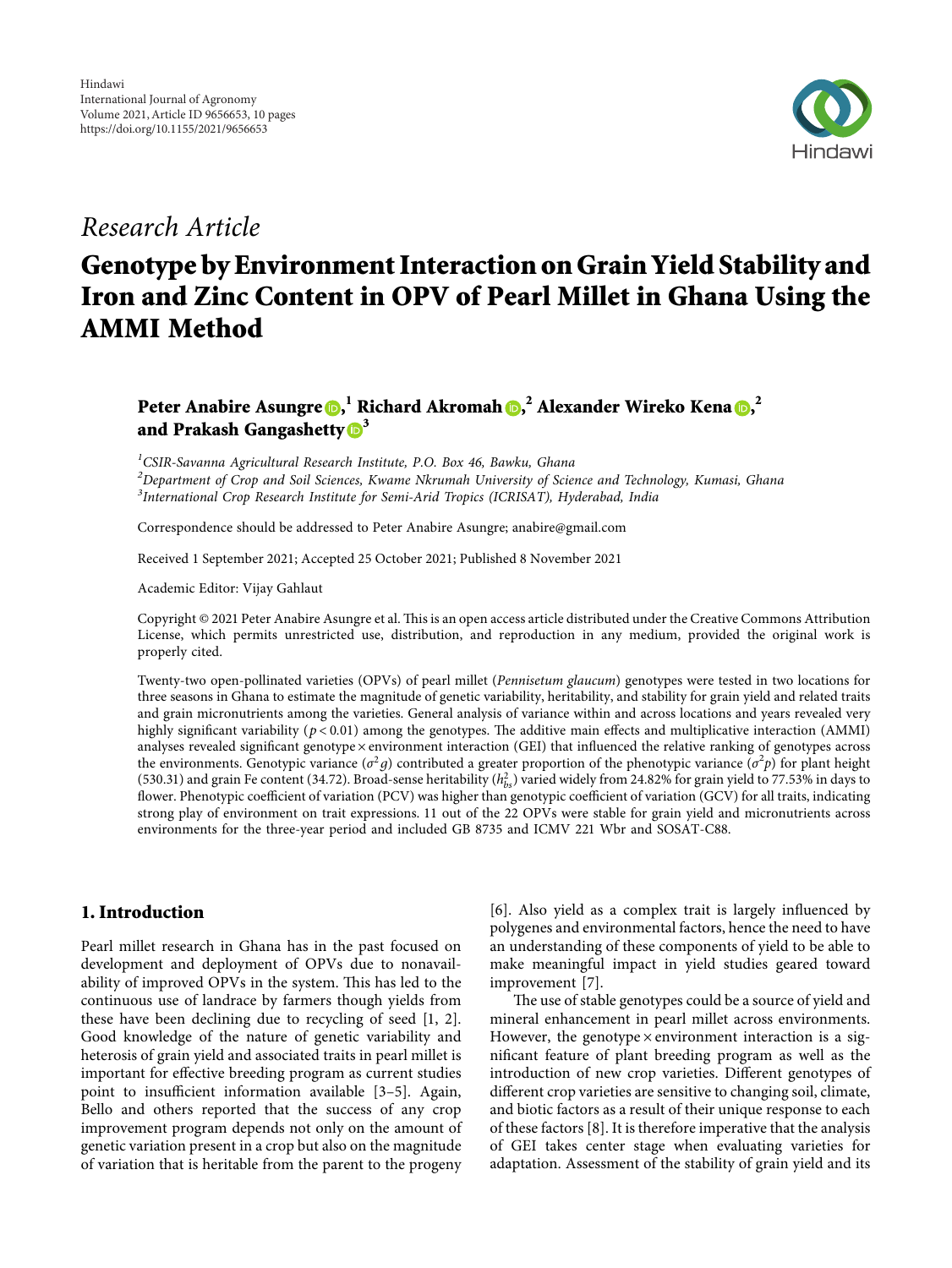

## *Research Article*

# **Genotype by Environment Interaction on Grain Yield Stability and Iron and Zinc Content in OPV of Pearl Millet in Ghana Using the AMMI Method**

## **Peter Anabire Asungre , <sup>1</sup> Richard Akromah [,](https://orcid.org/0000-0003-4199-0357) <sup>2</sup> Alexander Wireko Kena , 2 and Prakash Gangashetty <sup>3</sup>**

*1 CSIR-Savanna Agricultural Research Institute, P.O. Box 46, Bawku, Ghana*

*2 Department of Crop and Soil Sciences, Kwame Nkrumah University of Science and Technology, Kumasi, Ghana 3 International Crop Research Institute for Semi-Arid Tropics (ICRISAT), Hyderabad, India*

Correspondence should be addressed to Peter Anabire Asungre; [anabire@gmail.com](mailto:anabire@gmail.com)

Received 1 September 2021; Accepted 25 October 2021; Published 8 November 2021

Academic Editor: Vijay Gahlaut

Copyright @ 2021 Peter Anabire Asungre et al. This is an open access article distributed under the [Creative Commons Attribution](https://creativecommons.org/licenses/by/4.0/) [License,](https://creativecommons.org/licenses/by/4.0/) which permits unrestricted use, distribution, and reproduction in any medium, provided the original work is properly cited.

Twenty-two open-pollinated varieties (OPVs) of pearl millet (*Pennisetum glaucum*) genotypes were tested in two locations for three seasons in Ghana to estimate the magnitude of genetic variability, heritability, and stability for grain yield and related traits and grain micronutrients among the varieties. General analysis of variance within and across locations and years revealed very highly significant variability ( $p < 0.01$ ) among the genotypes. The additive main effects and multiplicative interaction (AMMI) analyses revealed significant genotype × environment interaction (GEI) that influenced the relative ranking of genotypes across the environments. Genotypic variance ( $\sigma^2 g$ ) contributed a greater proportion of the phenotypic variance ( $\sigma^2 p$ ) for plant height (530.31) and grain Fe content (34.72). Broad-sense heritability ( $h_{bs}^2$ ) varied widely from 24.82% for grain yield to 77.53% in days to flower. Phenotypic coefficient of variation (PCV) was higher than genotypic coefficient of variation (GCV) for all traits, indicating strong play of environment on trait expressions. 11 out of the 22 OPVs were stable for grain yield and micronutrients across environments for the three-year period and included GB 8735 and ICMV 221 Wbr and SOSAT-C88.

### **1. Introduction**

Pearl millet research in Ghana has in the past focused on development and deployment of OPVs due to nonavailability of improved OPVs in the system. This has led to the continuous use of landrace by farmers though yields from these have been declining due to recycling of seed [\[1](#page-7-0), [2](#page-7-0)]. Good knowledge of the nature of genetic variability and heterosis of grain yield and associated traits in pearl millet is important for effective breeding program as current studies point to insufficient information available [[3–5\]](#page-7-0). Again, Bello and others reported that the success of any crop improvement program depends not only on the amount of genetic variation present in a crop but also on the magnitude of variation that is heritable from the parent to the progeny [\[6](#page-7-0)]. Also yield as a complex trait is largely influenced by polygenes and environmental factors, hence the need to have an understanding of these components of yield to be able to make meaningful impact in yield studies geared toward improvement [\[7](#page-7-0)].

The use of stable genotypes could be a source of yield and mineral enhancement in pearl millet across environments. However, the genotype  $\times$  environment interaction is a significant feature of plant breeding program as well as the introduction of new crop varieties. Different genotypes of different crop varieties are sensitive to changing soil, climate, and biotic factors as a result of their unique response to each of these factors [[8](#page-7-0)]. It is therefore imperative that the analysis of GEI takes center stage when evaluating varieties for adaptation. Assessment of the stability of grain yield and its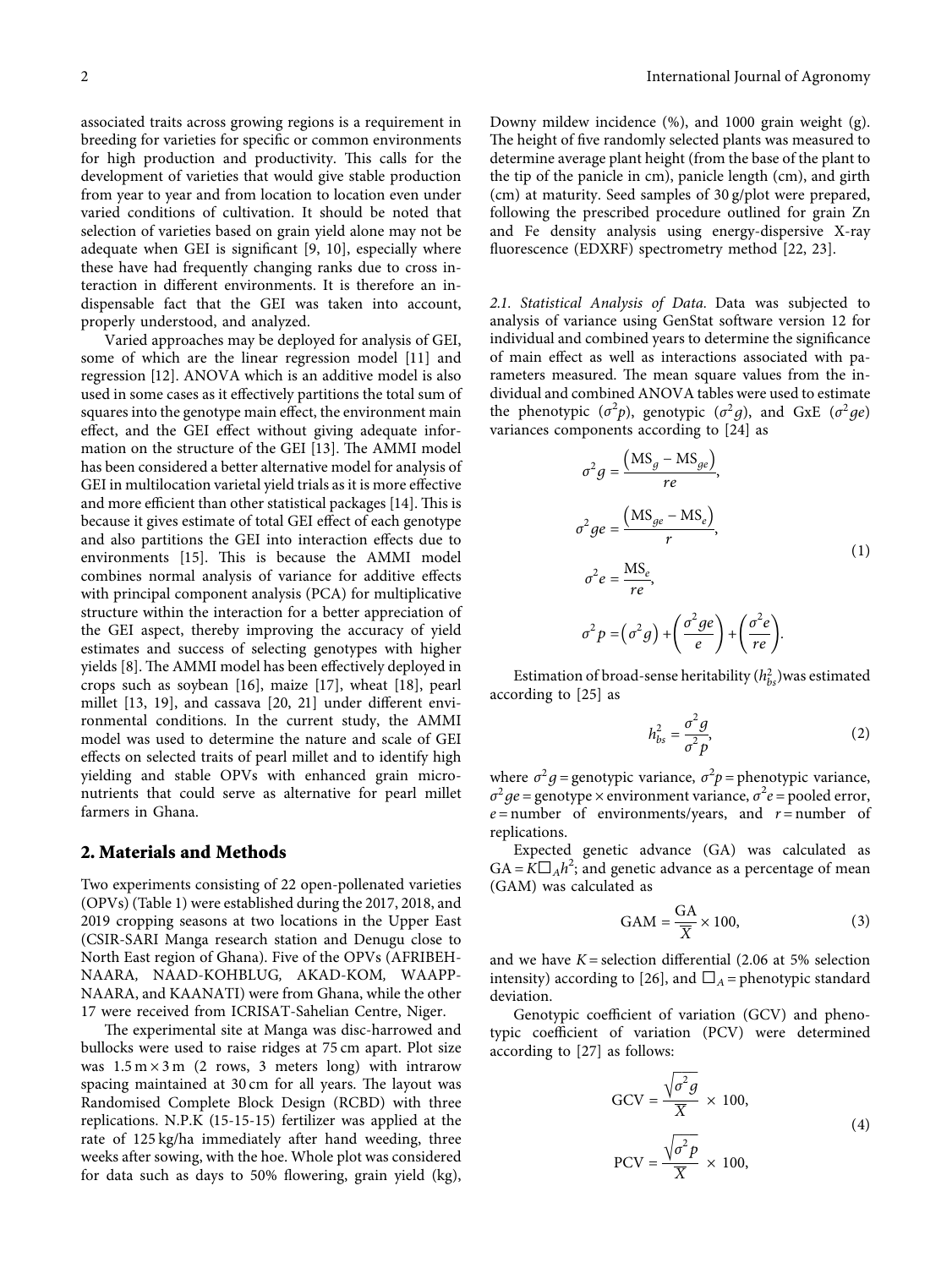associated traits across growing regions is a requirement in breeding for varieties for specific or common environments for high production and productivity. This calls for the development of varieties that would give stable production from year to year and from location to location even under varied conditions of cultivation. It should be noted that selection of varieties based on grain yield alone may not be adequate when GEI is significant [[9, 10](#page-7-0)], especially where these have had frequently changing ranks due to cross interaction in different environments. It is therefore an indispensable fact that the GEI was taken into account, properly understood, and analyzed.

Varied approaches may be deployed for analysis of GEI, some of which are the linear regression model [[11\]](#page-7-0) and regression [\[12](#page-7-0)]. ANOVA which is an additive model is also used in some cases as it effectively partitions the total sum of squares into the genotype main effect, the environment main effect, and the GEI effect without giving adequate infor-mation on the structure of the GEI [\[13\]](#page-8-0). The AMMI model has been considered a better alternative model for analysis of GEI in multilocation varietal yield trials as it is more effective and more efficient than other statistical packages [[14\]](#page-8-0). This is because it gives estimate of total GEI effect of each genotype and also partitions the GEI into interaction effects due to environments [[15\]](#page-8-0). This is because the AMMI model combines normal analysis of variance for additive effects with principal component analysis (PCA) for multiplicative structure within the interaction for a better appreciation of the GEI aspect, thereby improving the accuracy of yield estimates and success of selecting genotypes with higher yields [\[8](#page-7-0)]. The AMMI model has been effectively deployed in crops such as soybean [[16\]](#page-8-0), maize [[17\]](#page-8-0), wheat [\[18](#page-8-0)], pearl millet [[13, 19](#page-8-0)], and cassava [\[20, 21\]](#page-8-0) under different environmental conditions. In the current study, the AMMI model was used to determine the nature and scale of GEI effects on selected traits of pearl millet and to identify high yielding and stable OPVs with enhanced grain micronutrients that could serve as alternative for pearl millet farmers in Ghana.

#### **2. Materials and Methods**

Two experiments consisting of 22 open-pollenated varieties (OPVs) (Table [1\)](#page-2-0) were established during the 2017, 2018, and 2019 cropping seasons at two locations in the Upper East (CSIR-SARI Manga research station and Denugu close to North East region of Ghana). Five of the OPVs (AFRIBEH-NAARA*,* NAAD-KOHBLUG*,* AKAD-KOM*,* WAAPP-NAARA, and KAANATI) were from Ghana, while the other 17 were received from ICRISAT-Sahelian Centre, Niger.

The experimental site at Manga was disc-harrowed and bullocks were used to raise ridges at 75 cm apart. Plot size was  $1.5 \text{ m} \times 3 \text{ m}$  (2 rows, 3 meters long) with intrarow spacing maintained at 30 cm for all years. The layout was Randomised Complete Block Design (RCBD) with three replications. N.P.K (15-15-15) fertilizer was applied at the rate of 125 kg/ha immediately after hand weeding, three weeks after sowing, with the hoe. Whole plot was considered for data such as days to 50% flowering, grain yield (kg), Downy mildew incidence (%), and 1000 grain weight (g). The height of five randomly selected plants was measured to determine average plant height (from the base of the plant to the tip of the panicle in cm), panicle length (cm), and girth (cm) at maturity. Seed samples of 30 g/plot were prepared, following the prescribed procedure outlined for grain Zn and Fe density analysis using energy-dispersive X-ray fluorescence (EDXRF) spectrometry method [\[22, 23\]](#page-8-0).

*2.1. Statistical Analysis of Data.* Data was subjected to analysis of variance using GenStat software version 12 for individual and combined years to determine the significance of main effect as well as interactions associated with parameters measured. The mean square values from the individual and combined ANOVA tables were used to estimate the phenotypic  $(\sigma^2 p)$ , genotypic  $(\sigma^2 g)$ , and GxE  $(\sigma^2 g e)$ variances components according to [\[24\]](#page-8-0) as

$$
\sigma^2 g = \frac{(MS_g - MS_{ge})}{re},
$$
  
\n
$$
\sigma^2 ge = \frac{(MS_{ge} - MS_e)}{r},
$$
  
\n
$$
\sigma^2 e = \frac{MS_e}{re},
$$
  
\n
$$
\sigma^2 p = (\sigma^2 g) + (\frac{\sigma^2 ge}{e}) + (\frac{\sigma^2 e}{re}).
$$
\n(1)

Estimation of broad-sense heritability  $(h_{bs}^2)$  was estimated according to [[25](#page-8-0)] as

$$
h_{bs}^2 = \frac{\sigma^2 g}{\sigma^2 p},\tag{2}
$$

where  $\sigma^2 g$  = genotypic variance,  $\sigma^2 p$  = phenotypic variance,  $\sigma^2 g e$  = genotype × environment variance,  $\sigma^2 e$  = pooled error,  $e$  = number of environments/years, and  $r$  = number of replications.

Expected genetic advance (GA) was calculated as  $GA = \overline{K} \square_A h^2$ ; and genetic advance as a percentage of mean (GAM) was calculated as

$$
GAM = \frac{GA}{\overline{X}} \times 100,\tag{3}
$$

and we have  $K =$  selection differential (2.06 at 5% selection intensity) according to [\[26](#page-8-0)], and  $\Box_A$  = phenotypic standard deviation.

Genotypic coefficient of variation (GCV) and phenotypic coefficient of variation (PCV) were determined according to [[27](#page-8-0)] as follows:

$$
GCV = \frac{\sqrt{\sigma^2 g}}{\overline{X}} \times 100,
$$
  
PCV =  $\frac{\sqrt{\sigma^2 p}}{\overline{X}} \times 100,$  (4)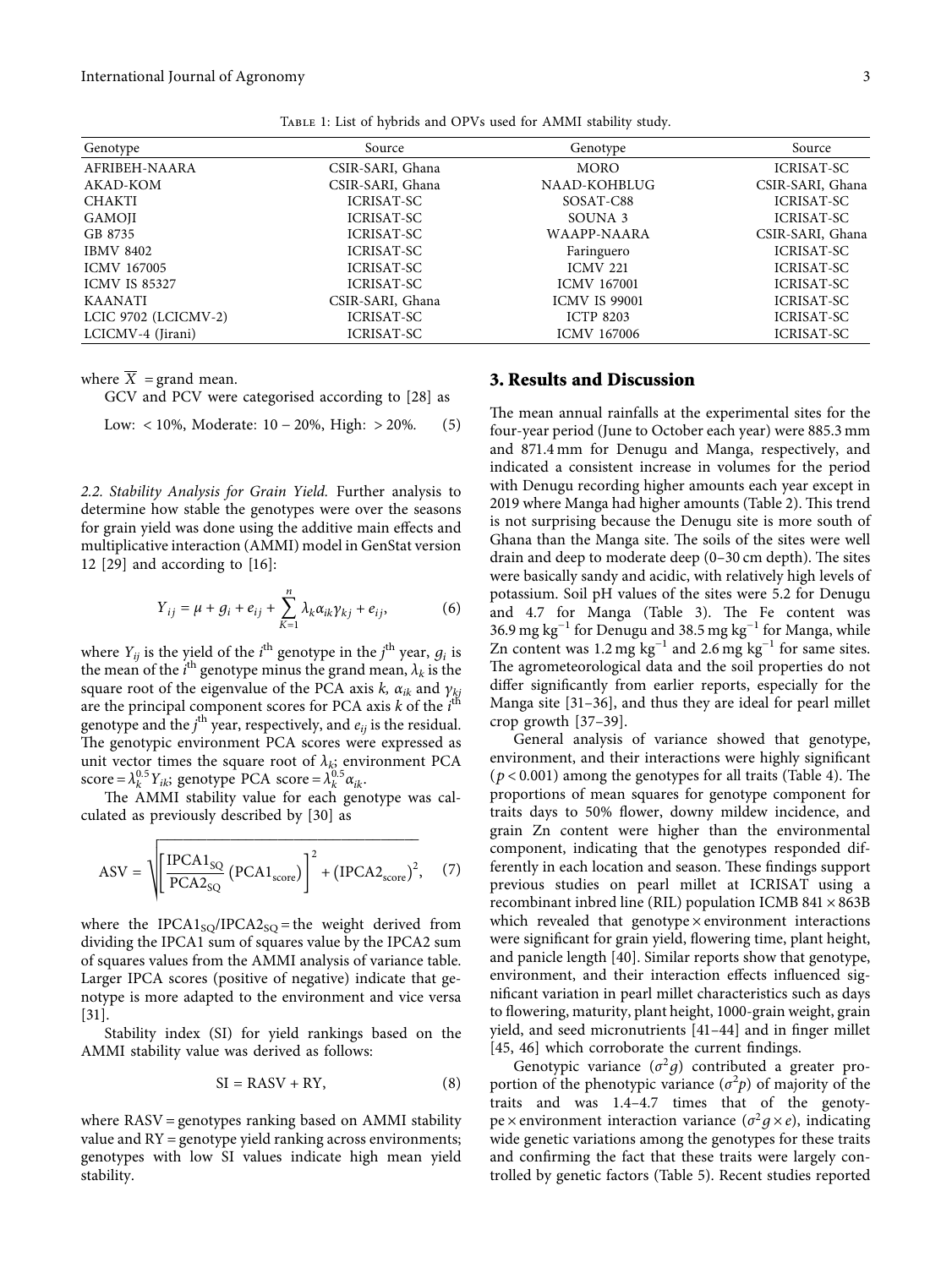<span id="page-2-0"></span>

| Genotype             | Source            | Genotype             | Source            |
|----------------------|-------------------|----------------------|-------------------|
| AFRIBEH-NAARA        | CSIR-SARI, Ghana  | <b>MORO</b>          | <b>ICRISAT-SC</b> |
| AKAD-KOM             | CSIR-SARI, Ghana  | NAAD-KOHBLUG         | CSIR-SARI, Ghana  |
| CHAKTI               | <b>ICRISAT-SC</b> | SOSAT-C88            | <b>ICRISAT-SC</b> |
| GAMOJI               | <b>ICRISAT-SC</b> | SOUNA 3              | <b>ICRISAT-SC</b> |
| GB 8735              | ICRISAT-SC        | WAAPP-NAARA          | CSIR-SARI, Ghana  |
| <b>IBMV 8402</b>     | ICRISAT-SC        | Faringuero           | <b>ICRISAT-SC</b> |
| <b>ICMV 167005</b>   | ICRISAT-SC        | <b>ICMV 221</b>      | <b>ICRISAT-SC</b> |
| <b>ICMV IS 85327</b> | ICRISAT-SC        | <b>ICMV 167001</b>   | <b>ICRISAT-SC</b> |
| <b>KAANATI</b>       | CSIR-SARI, Ghana  | <b>ICMV IS 99001</b> | <b>ICRISAT-SC</b> |
| LCIC 9702 (LCICMV-2) | ICRISAT-SC        | <b>ICTP 8203</b>     | <b>ICRISAT-SC</b> |
| LCICMV-4 (Jirani)    | <b>ICRISAT-SC</b> | <b>ICMV 167006</b>   | ICRISAT-SC        |

Table 1: List of hybrids and OPVs used for AMMI stability study.

where  $\overline{X}$  = grand mean.

GCV and PCV were categorised according to [\[28](#page-8-0)] as

Low: 
$$
< 10\%
$$
, Moderate:  $10 - 20\%$ , High:  $> 20\%$ . (5)

*2.2. Stability Analysis for Grain Yield.* Further analysis to determine how stable the genotypes were over the seasons for grain yield was done using the additive main effects and multiplicative interaction (AMMI) model in GenStat version 12 [\[29\]](#page-8-0) and according to [[16\]](#page-8-0):

$$
Y_{ij} = \mu + g_i + e_{ij} + \sum_{K=1}^{n} \lambda_k \alpha_{ik} \gamma_{kj} + e_{ij},
$$
 (6)

where  $Y_{ij}$  is the yield of the *i*<sup>th</sup> genotype in the *j*<sup>th</sup> year,  $g_i$  is the mean of the  $i^{\text{th}}$  genotype minus the grand mean,  $\lambda_k$  is the square root of the eigenvalue of the PCA axis  $k$ ,  $\alpha_{ik}$  and  $\gamma_{ki}$ are the principal component scores for PCA axis *k* of the *i*<sup>th</sup> genotype and the *j* th year, respectively, and *eij* is the residual. The genotypic environment PCA scores were expressed as unit vector times the square root of  $\lambda_{k}$ ; environment PCA  $score = \lambda_k^{0.5} Y_{ik}$ ; genotype PCA score =  $\lambda_k^{0.5} \alpha_{ik}$ .

The AMMI stability value for each genotype was calculated as previously described by [\[30\]](#page-8-0) as

$$
ASV = \sqrt{\left[\frac{IPCA1_{SQ}}{PCA2_{SQ}}\left(PCA1_{score}\right)\right]^2 + \left(IPCA2_{score}\right)^2},\quad(7)
$$

���������������������������������

where the IPCA1<sub>SO</sub>/IPCA2<sub>SO</sub> = the weight derived from dividing the IPCA1 sum of squares value by the IPCA2 sum of squares values from the AMMI analysis of variance table. Larger IPCA scores (positive of negative) indicate that genotype is more adapted to the environment and vice versa [\[31](#page-8-0)].

Stability index (SI) for yield rankings based on the AMMI stability value was derived as follows:

$$
SI = RASV + RY, \t(8)
$$

where  $RASV =$  genotypes ranking based on AMMI stability value and  $RY =$  genotype yield ranking across environments; genotypes with low SI values indicate high mean yield stability.

## **3. Results and Discussion**

The mean annual rainfalls at the experimental sites for the four-year period (June to October each year) were 885.3 mm and 871.4 mm for Denugu and Manga, respectively, and indicated a consistent increase in volumes for the period with Denugu recording higher amounts each year except in 2019 where Manga had higher amounts (Table [2](#page-3-0)). This trend is not surprising because the Denugu site is more south of Ghana than the Manga site. The soils of the sites were well drain and deep to moderate deep  $(0-30 \text{ cm depth})$ . The sites were basically sandy and acidic, with relatively high levels of potassium. Soil pH values of the sites were 5.2 for Denugu and 4.7 for Manga (Table [3](#page-3-0)). The Fe content was 36.9 mg kg<sup>-1</sup> for Denugu and 38.5 mg kg<sup>-1</sup> for Manga, while Zn content was 1.2 mg  $kg^{-1}$  and 2.6 mg  $kg^{-1}$  for same sites. The agrometeorological data and the soil properties do not differ significantly from earlier reports, especially for the Manga site [[31–36\]](#page-8-0), and thus they are ideal for pearl millet crop growth [[37](#page-8-0)–[39](#page-8-0)].

General analysis of variance showed that genotype, environment, and their interactions were highly significant  $(p < 0.001)$  among the genotypes for all traits (Table [4\)](#page-3-0). The proportions of mean squares for genotype component for traits days to 50% flower, downy mildew incidence, and grain Zn content were higher than the environmental component, indicating that the genotypes responded differently in each location and season. These findings support previous studies on pearl millet at ICRISAT using a recombinant inbred line (RIL) population ICMB 841  $\times$  863B which revealed that genotype  $\times$  environment interactions were significant for grain yield, flowering time, plant height, and panicle length [[40](#page-8-0)]. Similar reports show that genotype, environment, and their interaction effects influenced significant variation in pearl millet characteristics such as days to flowering, maturity, plant height, 1000-grain weight, grain yield, and seed micronutrients [\[41](#page-8-0)–[44](#page-8-0)] and in finger millet [\[45, 46](#page-9-0)] which corroborate the current findings.

Genotypic variance  $(\sigma^2 g)$  contributed a greater proportion of the phenotypic variance  $(\sigma^2 p)$  of majority of the traits and was 1.4–4.7 times that of the genotype × environment interaction variance ( $\sigma^2 g \times e$ ), indicating wide genetic variations among the genotypes for these traits and confirming the fact that these traits were largely controlled by genetic factors (Table [5\)](#page-3-0). Recent studies reported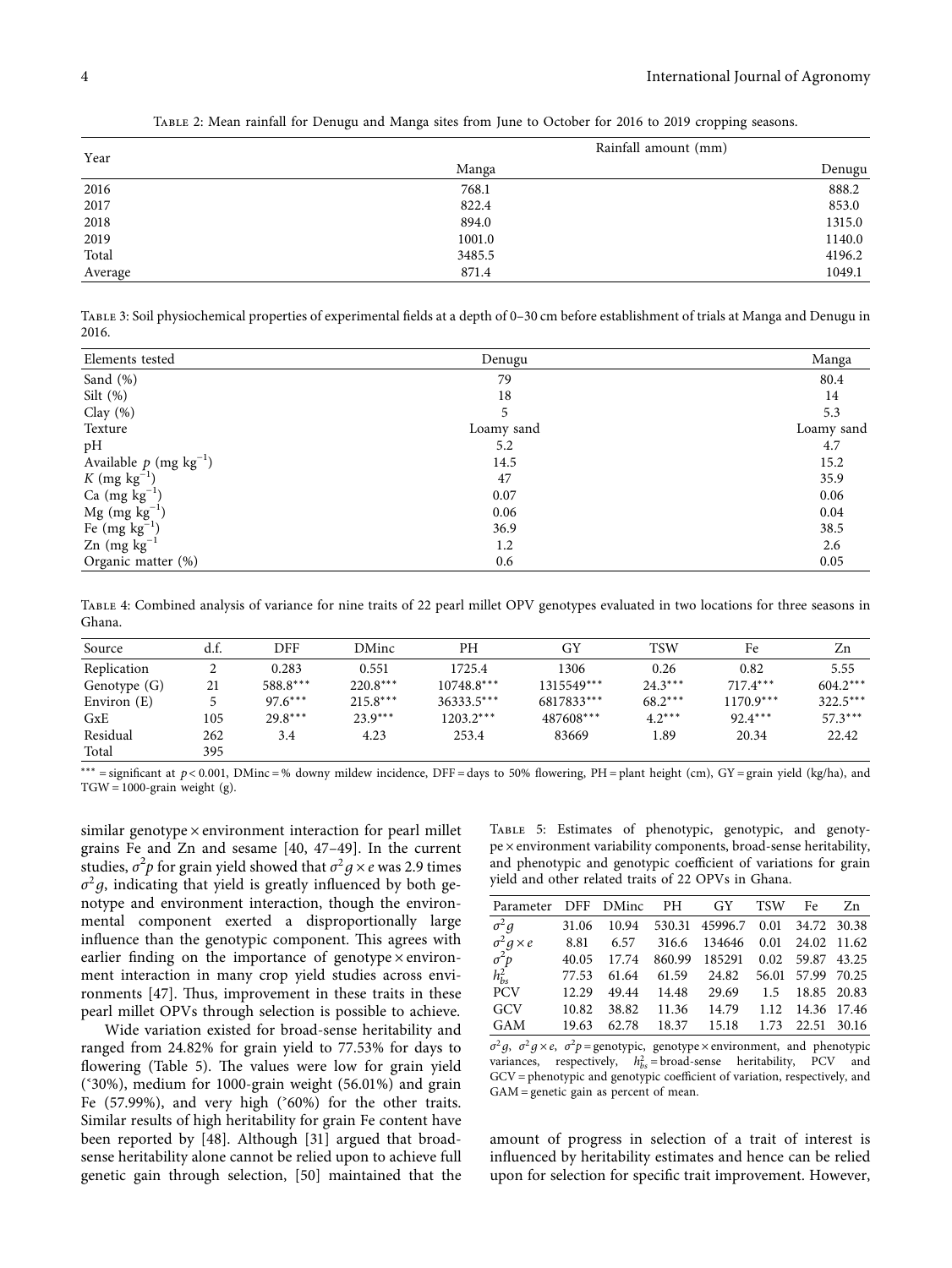<span id="page-3-0"></span>

| Year    | Rainfall amount (mm) |        |  |  |
|---------|----------------------|--------|--|--|
|         | Manga                | Denugu |  |  |
| 2016    | 768.1                | 888.2  |  |  |
| 2017    | 822.4                | 853.0  |  |  |
| 2018    | 894.0                | 1315.0 |  |  |
| 2019    | 1001.0               | 1140.0 |  |  |
| Total   | 3485.5               | 4196.2 |  |  |
| Average | 871.4                | 1049.1 |  |  |

Table 2: Mean rainfall for Denugu and Manga sites from June to October for 2016 to 2019 cropping seasons.

Table 3: Soil physiochemical properties of experimental fields at a depth of 0–30 cm before establishment of trials at Manga and Denugu in 2016.

| Elements tested                      | Denugu     | Manga      |
|--------------------------------------|------------|------------|
| Sand (%)                             | 79         | 80.4       |
| Silt $(\%)$                          | 18         | 14         |
| Clay $(\%)$                          |            | 5.3        |
| Texture                              | Loamy sand | Loamy sand |
| pH                                   | 5.2        | 4.7        |
| Available $p$ (mg kg <sup>-1</sup> ) | 14.5       | 15.2       |
| K (mg $kg^{-1}$ )                    | 47         | 35.9       |
| Ca $(mg kg^{-1})$                    | 0.07       | 0.06       |
| $Mg$ (mg $kg^{-1}$ )                 | 0.06       | 0.04       |
| Fe $(mg kg^{-1})$                    | 36.9       | 38.5       |
| Zn $(mg kg^{-1})$                    | 1.2        | 2.6        |
| Organic matter (%)                   | 0.6        | 0.05       |

Table 4: Combined analysis of variance for nine traits of 22 pearl millet OPV genotypes evaluated in two locations for three seasons in Ghana.

| Source       | d.f. | DFF       | DMinc      | PН           | GY         | <b>TSW</b> | Fe          | Zn         |
|--------------|------|-----------|------------|--------------|------------|------------|-------------|------------|
| Replication  | ∠    | 0.283     | 0.551      | 1725.4       | 1306       | 0.26       | 0.82        | 5.55       |
| Genotype (G) | 21   | 588.8***  | $220.8***$ | $10748.8***$ | 1315549*** | $24.3***$  | $717.4***$  | $604.2***$ |
| Environ (E)  |      | $97.6***$ | $215.8***$ | $36333.5***$ | 6817833*** | $68.2***$  | $1170.9***$ | $322.5***$ |
| GxE          | 105  | $29.8***$ | $23.9***$  | $1203.2***$  | 487608***  | $4.2***$   | $92.4***$   | $57.3***$  |
| Residual     | 262  | 3.4       | 4.23       | 253.4        | 83669      | 1.89       | 20.34       | 22.42      |
| Total        | 395  |           |            |              |            |            |             |            |

<sup>\*\*\*</sup> = significant at *p* < 0.001, DMinc = % downy mildew incidence, DFF = days to 50% flowering, PH = plant height (cm), GY = grain yield (kg/ha), and  $TGW = 1000$ -grain weight (g).

similar genotype × environment interaction for pearl millet grains Fe and Zn and sesame [\[40,](#page-8-0) [47–49](#page-9-0)]. In the current studies,  $\sigma^2 p$  for grain yield showed that  $\sigma^2 g \times e$  was 2.9 times  $\sigma^2 g$ , indicating that yield is greatly influenced by both genotype and environment interaction, though the environmental component exerted a disproportionally large influence than the genotypic component. This agrees with earlier finding on the importance of genotype  $\times$  environment interaction in many crop yield studies across environments  $[47]$  $[47]$  $[47]$ . Thus, improvement in these traits in these pearl millet OPVs through selection is possible to achieve.

Wide variation existed for broad-sense heritability and ranged from 24.82% for grain yield to 77.53% for days to flowering (Table 5). The values were low for grain yield (˂30%), medium for 1000-grain weight (56.01%) and grain Fe  $(57.99\%)$ , and very high  $(^{6}60\%)$  for the other traits. Similar results of high heritability for grain Fe content have been reported by [\[48\]](#page-9-0). Although [[31\]](#page-8-0) argued that broadsense heritability alone cannot be relied upon to achieve full genetic gain through selection, [\[50\]](#page-9-0) maintained that the

Table 5: Estimates of phenotypic, genotypic, and genotype × environment variability components, broad-sense heritability, and phenotypic and genotypic coefficient of variations for grain yield and other related traits of 22 OPVs in Ghana.

| Parameter DFF DMinc PH GY  |       |       |        |                     | <b>TSW</b> | Fe                | Zn          |
|----------------------------|-------|-------|--------|---------------------|------------|-------------------|-------------|
| $\sigma^2 g$               | 31.06 | 10.94 |        | 530.31 45996.7 0.01 |            | 34.72 30.38       |             |
| $\sigma^2 g \times e$      | 8.81  | 6.57  | 316.6  | 134646              |            | 0.01 24.02 11.62  |             |
|                            | 40.05 | 17.74 | 860.99 | 185291              |            | 0.02 59.87 43.25  |             |
| $\sigma^2 p$<br>$h_{bs}^2$ | 77.53 | 61.64 | 61.59  | 24.82               |            | 56.01 57.99 70.25 |             |
| <b>PCV</b>                 | 12.29 | 49.44 | 14.48  | 29.69               | 1.5        |                   | 18.85 20.83 |
| GCV                        | 10.82 | 38.82 | 11.36  | 14.79               | 1.12       | 14.36 17.46       |             |
| GAM                        | 19.63 | 62.78 | 18.37  | 15.18               | 1.73       |                   | 22.51 30.16 |

*σ*<sup>2</sup>*g*, *σ*<sup>2</sup>*g* × *e*, *σ*<sup>2</sup>*p* = genotypic, genotype × environment, and phenotypic variances, respectively,  $h_{bs}^2$  = broad-sense heritability, PCV and GCV = phenotypic and genotypic coefficient of variation, respectively, and  $GAM =$  genetic gain as percent of mean.

amount of progress in selection of a trait of interest is influenced by heritability estimates and hence can be relied upon for selection for specific trait improvement. However,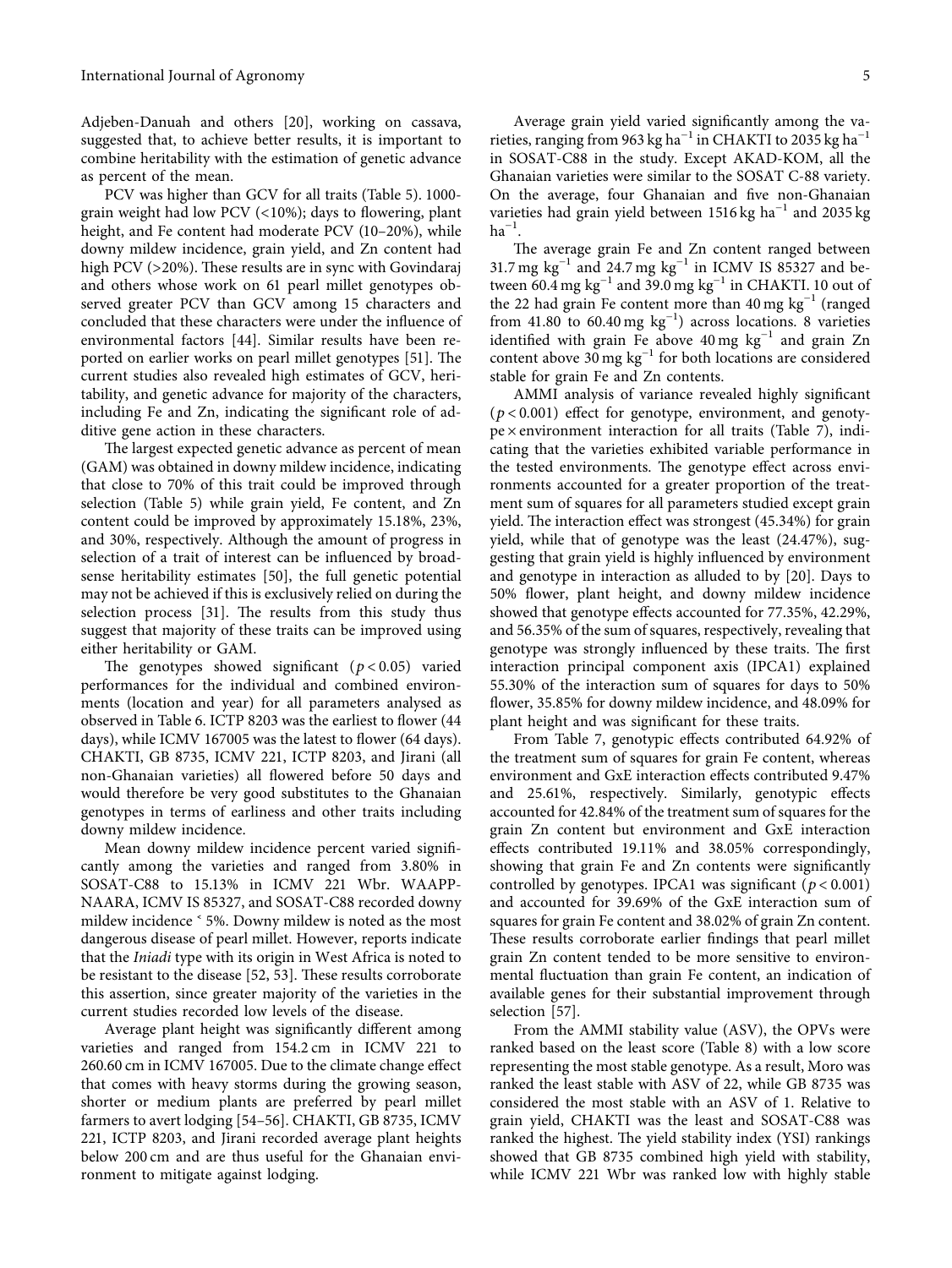Adjeben-Danuah and others [\[20\]](#page-8-0), working on cassava, suggested that, to achieve better results, it is important to combine heritability with the estimation of genetic advance as percent of the mean.

PCV was higher than GCV for all traits (Table [5](#page-3-0)). 1000 grain weight had low PCV (<10%); days to flowering, plant height, and Fe content had moderate PCV (10–20%), while downy mildew incidence, grain yield, and Zn content had high PCV (>20%). These results are in sync with Govindaraj and others whose work on 61 pearl millet genotypes observed greater PCV than GCV among 15 characters and concluded that these characters were under the influence of environmental factors [\[44\]](#page-8-0). Similar results have been re-ported on earlier works on pearl millet genotypes [\[51\]](#page-9-0). The current studies also revealed high estimates of GCV, heritability, and genetic advance for majority of the characters, including Fe and Zn, indicating the significant role of additive gene action in these characters.

The largest expected genetic advance as percent of mean (GAM) was obtained in downy mildew incidence, indicating that close to 70% of this trait could be improved through selection (Table [5](#page-3-0)) while grain yield, Fe content, and Zn content could be improved by approximately 15.18%, 23%, and 30%, respectively. Although the amount of progress in selection of a trait of interest can be influenced by broadsense heritability estimates [\[50\]](#page-9-0), the full genetic potential may not be achieved if this is exclusively relied on during the selection process  $[31]$  $[31]$ . The results from this study thus suggest that majority of these traits can be improved using either heritability or GAM.

The genotypes showed significant  $(p < 0.05)$  varied performances for the individual and combined environments (location and year) for all parameters analysed as observed in Table [6.](#page-5-0) ICTP 8203 was the earliest to flower (44 days), while ICMV 167005 was the latest to flower (64 days). CHAKTI, GB 8735, ICMV 221, ICTP 8203, and Jirani (all non-Ghanaian varieties) all flowered before 50 days and would therefore be very good substitutes to the Ghanaian genotypes in terms of earliness and other traits including downy mildew incidence.

Mean downy mildew incidence percent varied significantly among the varieties and ranged from 3.80% in SOSAT-C88 to 15.13% in ICMV 221 Wbr. WAAPP-NAARA, ICMV IS 85327, and SOSAT-C88 recorded downy mildew incidence  $\leq$  5%. Downy mildew is noted as the most dangerous disease of pearl millet. However, reports indicate that the *Iniadi* type with its origin in West Africa is noted to be resistant to the disease [\[52, 53](#page-9-0)]. These results corroborate this assertion, since greater majority of the varieties in the current studies recorded low levels of the disease.

Average plant height was significantly different among varieties and ranged from 154.2 cm in ICMV 221 to 260.60 cm in ICMV 167005. Due to the climate change effect that comes with heavy storms during the growing season, shorter or medium plants are preferred by pearl millet farmers to avert lodging [\[54–56\]](#page-9-0). CHAKTI, GB 8735, ICMV 221, ICTP 8203, and Jirani recorded average plant heights below 200 cm and are thus useful for the Ghanaian environment to mitigate against lodging.

Average grain yield varied significantly among the varieties, ranging from 963 kg ha<sup>-1</sup> in CHAKTI to 2035 kg ha<sup>-1</sup> in SOSAT-C88 in the study. Except AKAD-KOM, all the Ghanaian varieties were similar to the SOSAT C-88 variety. On the average, four Ghanaian and five non-Ghanaian varieties had grain yield between 1516 kg ha−<sup>1</sup> and 2035 kg  $ha^{-1}$ .

The average grain Fe and Zn content ranged between 31.7 mg kg<sup>-1</sup> and 24.7 mg kg<sup>-1</sup> in ICMV IS 85327 and between  $60.4$  mg kg<sup>-1</sup> and 39.0 mg kg<sup>-1</sup> in CHAKTI. 10 out of the 22 had grain Fe content more than 40 mg kg−<sup>1</sup> (ranged from 41.80 to 60.40 mg kg<sup>-1</sup>) across locations. 8 varieties identified with grain Fe above  $40 \text{ mg kg}^{-1}$  and grain Zn content above 30 mg  $kg^{-1}$  for both locations are considered stable for grain Fe and Zn contents.

AMMI analysis of variance revealed highly significant (*p* < 0*.*001) effect for genotype, environment, and genoty $pe \times environment$  interaction for all traits (Table [7\)](#page-5-0), indicating that the varieties exhibited variable performance in the tested environments. The genotype effect across environments accounted for a greater proportion of the treatment sum of squares for all parameters studied except grain yield. The interaction effect was strongest (45.34%) for grain yield, while that of genotype was the least (24.47%), suggesting that grain yield is highly influenced by environment and genotype in interaction as alluded to by [[20](#page-8-0)]. Days to 50% flower, plant height, and downy mildew incidence showed that genotype effects accounted for 77.35%, 42.29%, and 56.35% of the sum of squares, respectively, revealing that genotype was strongly influenced by these traits. The first interaction principal component axis (IPCA1) explained 55.30% of the interaction sum of squares for days to 50% flower, 35.85% for downy mildew incidence, and 48.09% for plant height and was significant for these traits.

From Table [7,](#page-5-0) genotypic effects contributed 64.92% of the treatment sum of squares for grain Fe content, whereas environment and GxE interaction effects contributed 9.47% and 25.61%, respectively. Similarly, genotypic effects accounted for 42.84% of the treatment sum of squares for the grain Zn content but environment and GxE interaction effects contributed 19.11% and 38.05% correspondingly, showing that grain Fe and Zn contents were significantly controlled by genotypes. IPCA1 was significant ( $p < 0.001$ ) and accounted for 39.69% of the GxE interaction sum of squares for grain Fe content and 38.02% of grain Zn content. These results corroborate earlier findings that pearl millet grain Zn content tended to be more sensitive to environmental fluctuation than grain Fe content, an indication of available genes for their substantial improvement through selection [[57](#page-9-0)].

From the AMMI stability value (ASV), the OPVs were ranked based on the least score (Table [8\)](#page-6-0) with a low score representing the most stable genotype. As a result, Moro was ranked the least stable with ASV of 22, while GB 8735 was considered the most stable with an ASV of 1. Relative to grain yield, CHAKTI was the least and SOSAT-C88 was ranked the highest. The yield stability index (YSI) rankings showed that GB 8735 combined high yield with stability, while ICMV 221 Wbr was ranked low with highly stable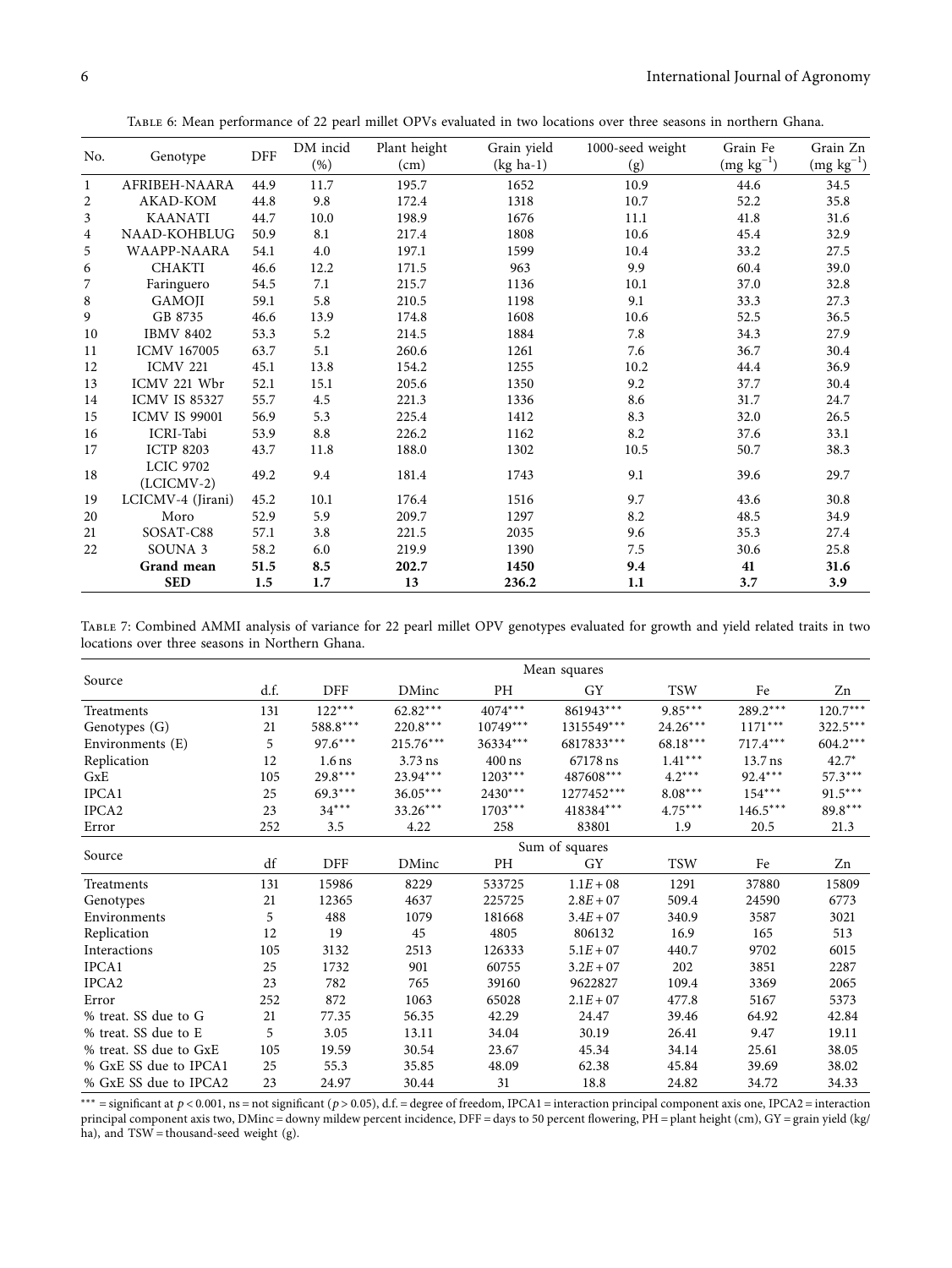| TABLE 6: Mean performance of 22 pearl millet OPVs evaluated in two locations over three seasons in northern Ghana. |  |  |
|--------------------------------------------------------------------------------------------------------------------|--|--|
|--------------------------------------------------------------------------------------------------------------------|--|--|

<span id="page-5-0"></span>

| No. | Genotype                         | DFF  | DM incid<br>$(\%)$ | Plant height<br>$\text{(cm)}$ | Grain yield<br>(kg ha-1) | 1000-seed weight<br>(g) | Grain Fe<br>$(mg kg^{-1})$ | Grain Zn<br>$(mg kg^{-1})$ |
|-----|----------------------------------|------|--------------------|-------------------------------|--------------------------|-------------------------|----------------------------|----------------------------|
| 1   | AFRIBEH-NAARA                    | 44.9 | 11.7               | 195.7                         | 1652                     | 10.9                    | 44.6                       | 34.5                       |
| 2   | AKAD-KOM                         | 44.8 | 9.8                | 172.4                         | 1318                     | 10.7                    | 52.2                       | 35.8                       |
| 3   | <b>KAANATI</b>                   | 44.7 | 10.0               | 198.9                         | 1676                     | 11.1                    | 41.8                       | 31.6                       |
| 4   | NAAD-KOHBLUG                     | 50.9 | 8.1                | 217.4                         | 1808                     | 10.6                    | 45.4                       | 32.9                       |
| 5   | WAAPP-NAARA                      | 54.1 | 4.0                | 197.1                         | 1599                     | 10.4                    | 33.2                       | 27.5                       |
| 6   | <b>CHAKTI</b>                    | 46.6 | 12.2               | 171.5                         | 963                      | 9.9                     | 60.4                       | 39.0                       |
| 7   | Faringuero                       | 54.5 | 7.1                | 215.7                         | 1136                     | 10.1                    | 37.0                       | 32.8                       |
| 8   | GAMOJI                           | 59.1 | 5.8                | 210.5                         | 1198                     | 9.1                     | 33.3                       | 27.3                       |
| 9   | GB 8735                          | 46.6 | 13.9               | 174.8                         | 1608                     | 10.6                    | 52.5                       | 36.5                       |
| 10  | <b>IBMV 8402</b>                 | 53.3 | 5.2                | 214.5                         | 1884                     | 7.8                     | 34.3                       | 27.9                       |
| 11  | <b>ICMV 167005</b>               | 63.7 | 5.1                | 260.6                         | 1261                     | 7.6                     | 36.7                       | 30.4                       |
| 12  | <b>ICMV 221</b>                  | 45.1 | 13.8               | 154.2                         | 1255                     | 10.2                    | 44.4                       | 36.9                       |
| 13  | ICMV 221 Wbr                     | 52.1 | 15.1               | 205.6                         | 1350                     | 9.2                     | 37.7                       | 30.4                       |
| 14  | <b>ICMV IS 85327</b>             | 55.7 | 4.5                | 221.3                         | 1336                     | 8.6                     | 31.7                       | 24.7                       |
| 15  | <b>ICMV IS 99001</b>             | 56.9 | 5.3                | 225.4                         | 1412                     | 8.3                     | 32.0                       | 26.5                       |
| 16  | ICRI-Tabi                        | 53.9 | 8.8                | 226.2                         | 1162                     | 8.2                     | 37.6                       | 33.1                       |
| 17  | <b>ICTP 8203</b>                 | 43.7 | 11.8               | 188.0                         | 1302                     | 10.5                    | 50.7                       | 38.3                       |
| 18  | <b>LCIC 9702</b><br>$(LCICMV-2)$ | 49.2 | 9.4                | 181.4                         | 1743                     | 9.1                     | 39.6                       | 29.7                       |
| 19  | LCICMV-4 (Jirani)                | 45.2 | 10.1               | 176.4                         | 1516                     | 9.7                     | 43.6                       | 30.8                       |
| 20  | Moro                             | 52.9 | 5.9                | 209.7                         | 1297                     | 8.2                     | 48.5                       | 34.9                       |
| 21  | SOSAT-C88                        | 57.1 | 3.8                | 221.5                         | 2035                     | 9.6                     | 35.3                       | 27.4                       |
| 22  | SOUNA <sub>3</sub>               | 58.2 | 6.0                | 219.9                         | 1390                     | 7.5                     | 30.6                       | 25.8                       |
|     | Grand mean                       | 51.5 | 8.5                | 202.7                         | 1450                     | 9.4                     | 41                         | 31.6                       |
|     | <b>SED</b>                       | 1.5  | 1.7                | 13                            | 236.2                    | 1.1                     | 3.7                        | 3.9                        |

Table 7: Combined AMMI analysis of variance for 22 pearl millet OPV genotypes evaluated for growth and yield related traits in two locations over three seasons in Northern Ghana.

|                        | Mean squares   |            |             |            |                         |            |            |            |
|------------------------|----------------|------------|-------------|------------|-------------------------|------------|------------|------------|
| Source                 | d.f.           | DFF        | DMinc       | PH         | GY                      | <b>TSW</b> | Fe         | Zn         |
| Treatments             | 131            | $122***$   | $62.82***$  | $4074***$  | 861943***               | $9.85***$  | $289.2***$ | $120.7***$ |
| Genotypes (G)          | 21             | $588.8***$ | 220.8***    | $10749***$ | 1315549***              | 24.26***   | $1171***$  | 322.5***   |
| Environments (E)       | 5              | $97.6***$  | $215.76***$ | 36334***   | 6817833***              | 68.18***   | $717.4***$ | $604.2***$ |
| Replication            | 12             | $1.6$ ns   | $3.73$ ns   | $400$ ns   | 67178 ns                | $1.41***$  | $13.7$ ns  | $42.7*$    |
| GxE                    | 105            | $29.8***$  | 23.94***    | $1203***$  | $487608^{\ast\ast\ast}$ | $4.2***$   | 92.4***    | 57.3***    |
| IPCA1                  | 25             | $69.3***$  | $36.05***$  | $2430***$  | 1277452***              | $8.08***$  | $154***$   | $91.5***$  |
| IPCA2                  | 23             | $34***$    | $33.26***$  | $1703***$  | 418384***               | $4.75***$  | $146.5***$ | 89.8***    |
| Error                  | 252            | 3.5        | 4.22        | 258        | 83801                   | 1.9        | 20.5       | 21.3       |
|                        | Sum of squares |            |             |            |                         |            |            |            |
| Source                 | df             | DFF        | DMinc       | PH         | GY                      | <b>TSW</b> | Fe         | Zn         |
| Treatments             | 131            | 15986      | 8229        | 533725     | $1.1E + 08$             | 1291       | 37880      | 15809      |
| Genotypes              | 21             | 12365      | 4637        | 225725     | $2.8E + 07$             | 509.4      | 24590      | 6773       |
| Environments           | 5              | 488        | 1079        | 181668     | $3.4E + 07$             | 340.9      | 3587       | 3021       |
| Replication            | 12             | 19         | 45          | 4805       | 806132                  | 16.9       | 165        | 513        |
| Interactions           | 105            | 3132       | 2513        | 126333     | $5.1E + 07$             | 440.7      | 9702       | 6015       |
| IPCA1                  | 25             | 1732       | 901         | 60755      | $3.2E + 07$             | 202        | 3851       | 2287       |
| IPCA2                  | 23             | 782        | 765         | 39160      | 9622827                 | 109.4      | 3369       | 2065       |
| Error                  | 252            | 872        | 1063        | 65028      | $2.1E + 07$             | 477.8      | 5167       | 5373       |
| % treat. SS due to G   | 21             | 77.35      | 56.35       | 42.29      | 24.47                   | 39.46      | 64.92      | 42.84      |
| % treat. SS due to E   | 5              | 3.05       | 13.11       | 34.04      | 30.19                   | 26.41      | 9.47       | 19.11      |
| % treat. SS due to GxE | 105            | 19.59      | 30.54       | 23.67      | 45.34                   | 34.14      | 25.61      | 38.05      |
| % GxE SS due to IPCA1  | 25             | 55.3       | 35.85       | 48.09      | 62.38                   | 45.84      | 39.69      | 38.02      |
| % GxE SS due to IPCA2  | 23             | 24.97      | 30.44       | 31         | 18.8                    | 24.82      | 34.72      | 34.33      |

 $***$  = significant at *p* < 0.001, ns = not significant (*p* > 0.05), d.f. = degree of freedom, IPCA1 = interaction principal component axis one, IPCA2 = interaction principal component axis two, DMinc = downy mildew percent incidence, DFF = days to 50 percent flowering, PH = plant height (cm), GY = grain yield (kg/ ha), and  $TSW =$  thousand-seed weight (g).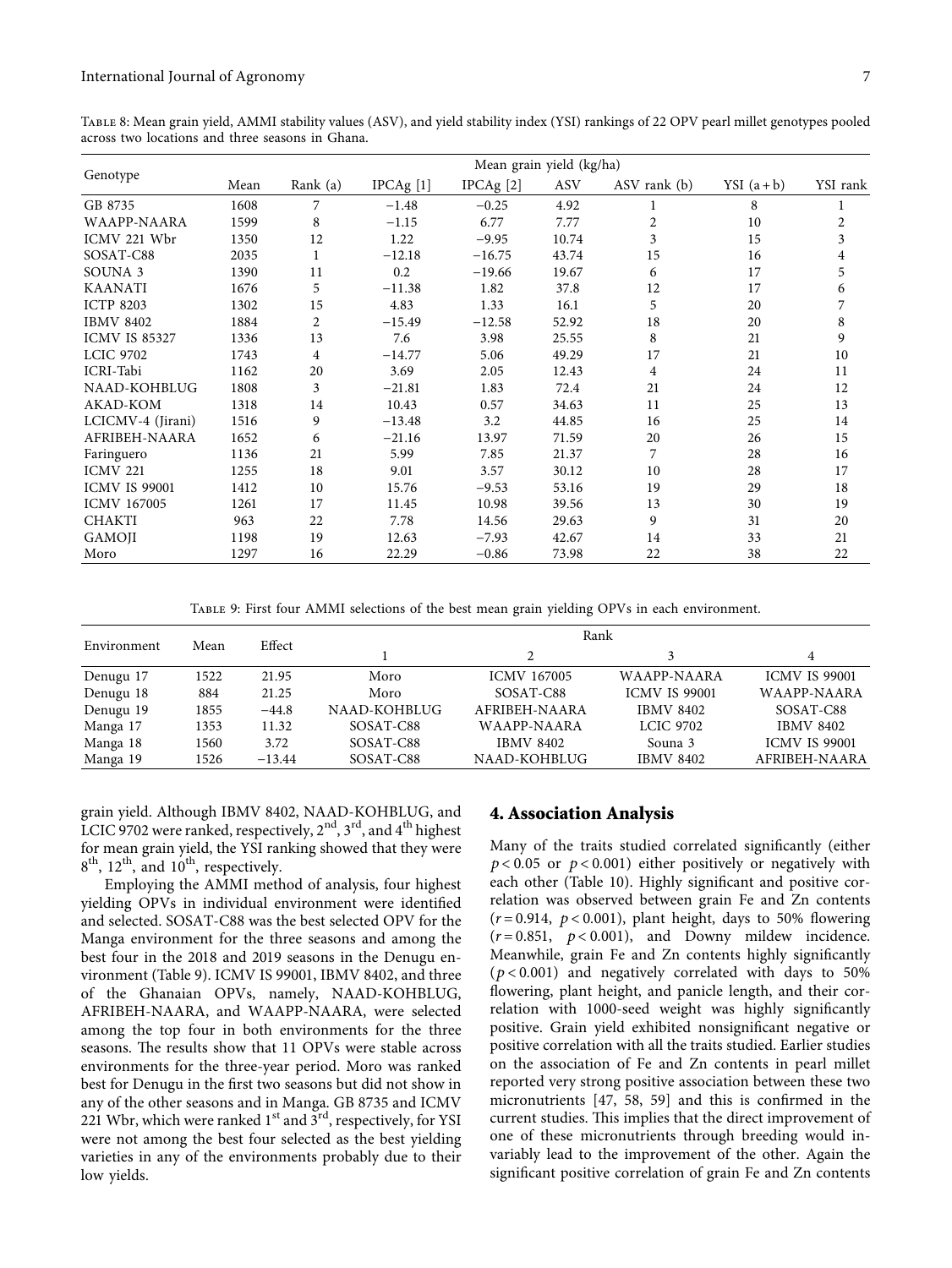<span id="page-6-0"></span>Table 8: Mean grain yield, AMMI stability values (ASV), and yield stability index (YSI) rankings of 22 OPV pearl millet genotypes pooled across two locations and three seasons in Ghana.

|                      | Mean grain yield (kg/ha) |                |                      |                      |       |              |               |          |  |
|----------------------|--------------------------|----------------|----------------------|----------------------|-------|--------------|---------------|----------|--|
| Genotype             | Mean                     | Rank (a)       | IPCAg <sup>[1]</sup> | IPCAg <sup>[2]</sup> | ASV   | ASV rank (b) | YSI $(a + b)$ | YSI rank |  |
| GB 8735              | 1608                     | 7              | $-1.48$              | $-0.25$              | 4.92  |              | 8             |          |  |
| <b>WAAPP-NAARA</b>   | 1599                     | 8              | $-1.15$              | 6.77                 | 7.77  | 2            | 10            | 2        |  |
| ICMV 221 Wbr         | 1350                     | 12             | 1.22                 | $-9.95$              | 10.74 | 3            | 15            | 3        |  |
| SOSAT-C88            | 2035                     | $\mathbf{1}$   | $-12.18$             | $-16.75$             | 43.74 | 15           | 16            | 4        |  |
| SOUNA <sub>3</sub>   | 1390                     | 11             | 0.2                  | $-19.66$             | 19.67 | 6            | 17            | 5        |  |
| <b>KAANATI</b>       | 1676                     | 5              | $-11.38$             | 1.82                 | 37.8  | 12           | 17            | 6        |  |
| <b>ICTP 8203</b>     | 1302                     | 15             | 4.83                 | 1.33                 | 16.1  | 5            | 20            | 7        |  |
| <b>IBMV 8402</b>     | 1884                     | $\overline{c}$ | $-15.49$             | $-12.58$             | 52.92 | 18           | 20            | 8        |  |
| <b>ICMV IS 85327</b> | 1336                     | 13             | 7.6                  | 3.98                 | 25.55 | 8            | 21            | 9        |  |
| <b>LCIC 9702</b>     | 1743                     | 4              | $-14.77$             | 5.06                 | 49.29 | 17           | 21            | 10       |  |
| ICRI-Tabi            | 1162                     | 20             | 3.69                 | 2.05                 | 12.43 | 4            | 24            | 11       |  |
| NAAD-KOHBLUG         | 1808                     | 3              | $-21.81$             | 1.83                 | 72.4  | 21           | 24            | 12       |  |
| AKAD-KOM             | 1318                     | 14             | 10.43                | 0.57                 | 34.63 | 11           | 25            | 13       |  |
| LCICMV-4 (Jirani)    | 1516                     | 9              | $-13.48$             | 3.2                  | 44.85 | 16           | 25            | 14       |  |
| AFRIBEH-NAARA        | 1652                     | 6              | $-21.16$             | 13.97                | 71.59 | 20           | 26            | 15       |  |
| Faringuero           | 1136                     | 21             | 5.99                 | 7.85                 | 21.37 | 7            | 28            | 16       |  |
| <b>ICMV 221</b>      | 1255                     | 18             | 9.01                 | 3.57                 | 30.12 | 10           | 28            | 17       |  |
| <b>ICMV IS 99001</b> | 1412                     | 10             | 15.76                | $-9.53$              | 53.16 | 19           | 29            | 18       |  |
| <b>ICMV 167005</b>   | 1261                     | 17             | 11.45                | 10.98                | 39.56 | 13           | 30            | 19       |  |
| <b>CHAKTI</b>        | 963                      | 22             | 7.78                 | 14.56                | 29.63 | 9            | 31            | 20       |  |
| <b>GAMOJI</b>        | 1198                     | 19             | 12.63                | $-7.93$              | 42.67 | 14           | 33            | 21       |  |
| Moro                 | 1297                     | 16             | 22.29                | $-0.86$              | 73.98 | 22           | 38            | 22       |  |

Table 9: First four AMMI selections of the best mean grain yielding OPVs in each environment.

|             |      |          | Rank         |                    |                      |                      |  |  |
|-------------|------|----------|--------------|--------------------|----------------------|----------------------|--|--|
| Environment | Mean | Effect   |              |                    |                      | 4                    |  |  |
| Denugu 17   | 1522 | 21.95    | Moro         | <b>ICMV 167005</b> | WAAPP-NAARA          | <b>ICMV IS 99001</b> |  |  |
| Denugu 18   | 884  | 21.25    | Moro         | SOSAT-C88          | <b>ICMV IS 99001</b> | WAAPP-NAARA          |  |  |
| Denugu 19   | 1855 | $-44.8$  | NAAD-KOHBLUG | AFRIBEH-NAARA      | <b>IBMV 8402</b>     | SOSAT-C88            |  |  |
| Manga 17    | 1353 | 11.32    | SOSAT-C88    | WAAPP-NAARA        | <b>LCIC 9702</b>     | <b>IBMV 8402</b>     |  |  |
| Manga 18    | 1560 | 3.72     | SOSAT-C88    | <b>IBMV 8402</b>   | Souna 3              | <b>ICMV IS 99001</b> |  |  |
| Manga 19    | 1526 | $-13.44$ | SOSAT-C88    | NAAD-KOHBLUG       | <b>IBMV 8402</b>     | AFRIBEH-NAARA        |  |  |

grain yield. Although IBMV 8402, NAAD-KOHBLUG, and LCIC 9702 were ranked, respectively,  $2<sup>nd</sup>$ ,  $3<sup>rd</sup>$ , and  $4<sup>th</sup>$  highest for mean grain yield, the YSI ranking showed that they were  $8<sup>th</sup>$ ,  $12<sup>th</sup>$ , and  $10<sup>th</sup>$ , respectively.

Employing the AMMI method of analysis, four highest yielding OPVs in individual environment were identified and selected. SOSAT-C88 was the best selected OPV for the Manga environment for the three seasons and among the best four in the 2018 and 2019 seasons in the Denugu environment (Table 9). ICMV IS 99001, IBMV 8402, and three of the Ghanaian OPVs, namely, NAAD-KOHBLUG, AFRIBEH-NAARA, and WAAPP-NAARA, were selected among the top four in both environments for the three seasons. The results show that 11 OPVs were stable across environments for the three-year period. Moro was ranked best for Denugu in the first two seasons but did not show in any of the other seasons and in Manga. GB 8735 and ICMV 221 Wbr, which were ranked  $1<sup>st</sup>$  and  $3<sup>rd</sup>$ , respectively, for YSI were not among the best four selected as the best yielding varieties in any of the environments probably due to their low yields.

#### **4. Association Analysis**

Many of the traits studied correlated significantly (either *p* < 0*.*05 or *p* < 0*.*001) either positively or negatively with each other (Table [10\)](#page-7-0). Highly significant and positive correlation was observed between grain Fe and Zn contents  $(r=0.914, p<0.001)$ , plant height, days to 50% flowering  $(r=0.851, p<0.001)$ , and Downy mildew incidence. Meanwhile, grain Fe and Zn contents highly significantly (*p* < 0*.*001) and negatively correlated with days to 50% flowering, plant height, and panicle length, and their correlation with 1000-seed weight was highly significantly positive. Grain yield exhibited nonsignificant negative or positive correlation with all the traits studied. Earlier studies on the association of Fe and Zn contents in pearl millet reported very strong positive association between these two micronutrients [\[47, 58](#page-9-0), [59\]](#page-9-0) and this is confirmed in the current studies. This implies that the direct improvement of one of these micronutrients through breeding would invariably lead to the improvement of the other. Again the significant positive correlation of grain Fe and Zn contents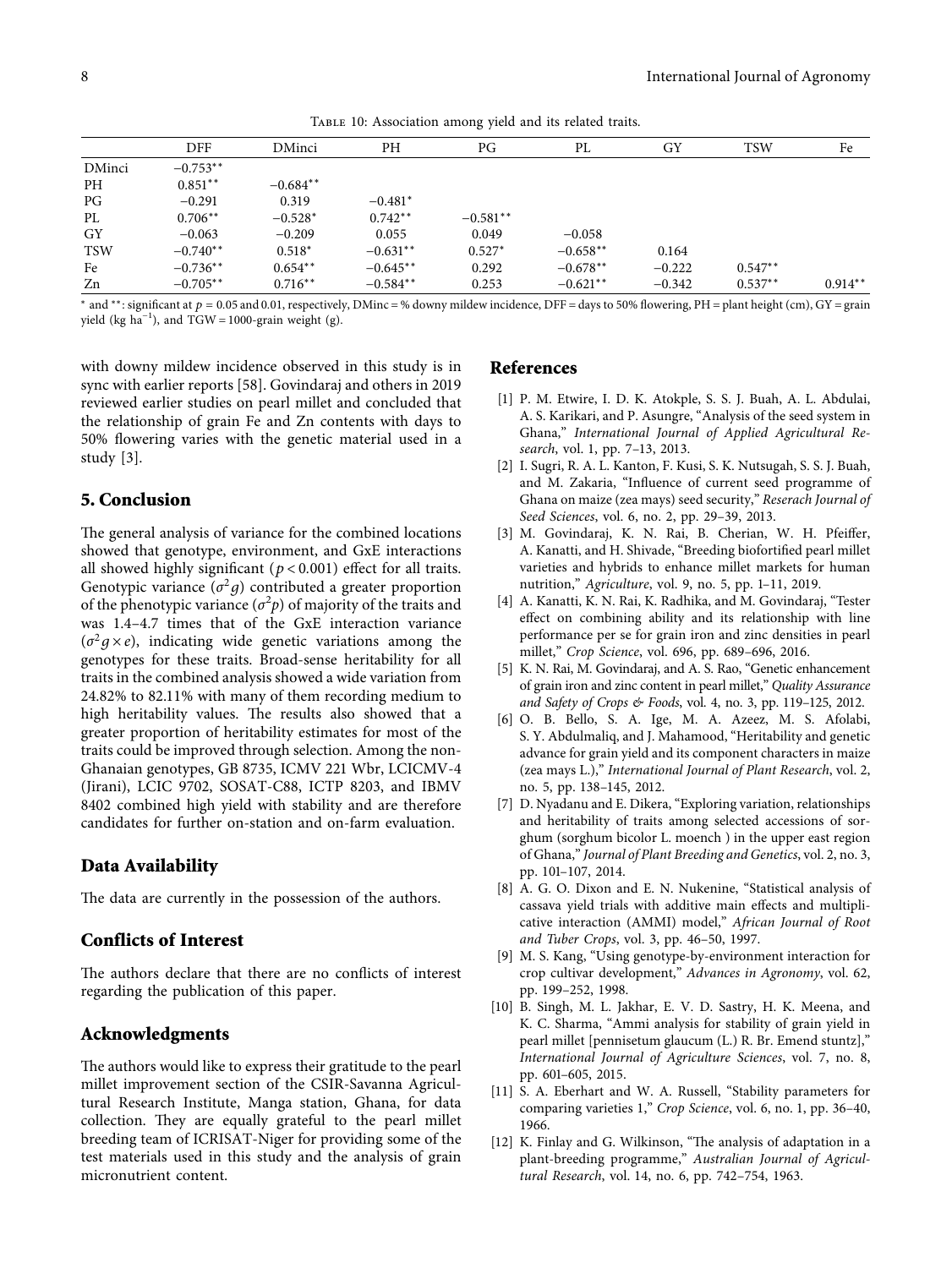<span id="page-7-0"></span>DFF DMinci PH PG PL GY TSW Fe DMinci −0.753<sup>\*\*</sup><br>PH 0.851<sup>\*\*</sup> PH  $0.851^{**}$  -0.684<sup>∗∗</sup><br>PG -0.291 0.319 PG −0.291 0.319 −0.481<sup>\*</sup> PL 0.706<sup>∗∗</sup> −0.528<sup>∗</sup> 0.742<sup>∗∗</sup> −0.581<sup>∗∗</sup> GY −0.063 −0.209 0.055 0.049 −0.058 TSW −0.740∗∗ 0.518<sup>∗</sup> −0.631∗∗ 0.527<sup>∗</sup> −0.658∗∗ 0.164

Fe  $-0.736$ <sup>\*\*</sup>  $0.654$ <sup>\*\*</sup>  $-0.645$ <sup>\*\*</sup> 0.292  $-0.678$ <sup>\*\*</sup>  $-0.222$   $0.547$ <sup>\*\*</sup>

Table 10: Association among yield and its related traits.

Zn −0.705∗∗ 0.716∗∗ −0.584∗∗ 0.253 −0.621∗∗ −0.342 0.537∗∗ 0.914∗∗ <sup>∗</sup> and <sup>∗</sup>\*: significant at *p* = 0.05 and 0.01, respectively, DMinc = % downy mildew incidence, DFF = days to 50% flowering, PH = plant height (cm), GY = grain yield (kg  $ha^{-1}$ ), and TGW = 1000-grain weight (g).

with downy mildew incidence observed in this study is in sync with earlier reports [[58](#page-9-0)]. Govindaraj and others in 2019 reviewed earlier studies on pearl millet and concluded that the relationship of grain Fe and Zn contents with days to 50% flowering varies with the genetic material used in a study [3].

## **5. Conclusion**

The general analysis of variance for the combined locations showed that genotype, environment, and GxE interactions all showed highly significant (*p* < 0*.*001) effect for all traits. Genotypic variance  $(\sigma^2 q)$  contributed a greater proportion of the phenotypic variance  $(\sigma^2 p)$  of majority of the traits and was 1.4–4.7 times that of the GxE interaction variance  $(\sigma^2 g \times e)$ , indicating wide genetic variations among the genotypes for these traits. Broad-sense heritability for all traits in the combined analysis showed a wide variation from 24.82% to 82.11% with many of them recording medium to high heritability values. The results also showed that a greater proportion of heritability estimates for most of the traits could be improved through selection. Among the non-Ghanaian genotypes, GB 8735, ICMV 221 Wbr, LCICMV-4 (Jirani), LCIC 9702, SOSAT-C88, ICTP 8203, and IBMV 8402 combined high yield with stability and are therefore candidates for further on-station and on-farm evaluation.

## **Data Availability**

The data are currently in the possession of the authors.

## **Conflicts of Interest**

The authors declare that there are no conflicts of interest regarding the publication of this paper.

## **Acknowledgments**

The authors would like to express their gratitude to the pearl millet improvement section of the CSIR-Savanna Agricultural Research Institute, Manga station, Ghana, for data collection. They are equally grateful to the pearl millet breeding team of ICRISAT-Niger for providing some of the test materials used in this study and the analysis of grain micronutrient content.

## **References**

- [1] P. M. Etwire, I. D. K. Atokple, S. S. J. Buah, A. L. Abdulai, A. S. Karikari, and P. Asungre, "Analysis of the seed system in Ghana," *International Journal of Applied Agricultural Research*, vol. 1, pp. 7–13, 2013.
- [2] I. Sugri, R. A. L. Kanton, F. Kusi, S. K. Nutsugah, S. S. J. Buah, and M. Zakaria, "Influence of current seed programme of Ghana on maize (zea mays) seed security," *Reserach Journal of Seed Sciences*, vol. 6, no. 2, pp. 29–39, 2013.
- [3] M. Govindaraj, K. N. Rai, B. Cherian, W. H. Pfeiffer, A. Kanatti, and H. Shivade, "Breeding biofortified pearl millet varieties and hybrids to enhance millet markets for human nutrition," *Agriculture*, vol. 9, no. 5, pp. 1–11, 2019.
- [4] A. Kanatti, K. N. Rai, K. Radhika, and M. Govindaraj, "Tester effect on combining ability and its relationship with line performance per se for grain iron and zinc densities in pearl millet," *Crop Science*, vol. 696, pp. 689–696, 2016.
- [5] K. N. Rai, M. Govindaraj, and A. S. Rao, "Genetic enhancement of grain iron and zinc content in pearl millet," *Quality Assurance and Safety of Crops & Foods*, vol. 4, no. 3, pp. 119–125, 2012.
- [6] O. B. Bello, S. A. Ige, M. A. Azeez, M. S. Afolabi, S. Y. Abdulmaliq, and J. Mahamood, "Heritability and genetic advance for grain yield and its component characters in maize (zea mays L.)," *International Journal of Plant Research*, vol. 2, no. 5, pp. 138–145, 2012.
- [7] D. Nyadanu and E. Dikera, "Exploring variation, relationships and heritability of traits among selected accessions of sorghum (sorghum bicolor L. moench ) in the upper east region of Ghana," *Journal of Plant Breeding and Genetics*, vol. 2, no. 3, pp. 101–107, 2014.
- [8] A. G. O. Dixon and E. N. Nukenine, "Statistical analysis of cassava yield trials with additive main effects and multiplicative interaction (AMMI) model," *African Journal of Root and Tuber Crops*, vol. 3, pp. 46–50, 1997.
- [9] M. S. Kang, "Using genotype-by-environment interaction for crop cultivar development," *Advances in Agronomy*, vol. 62, pp. 199–252, 1998.
- [10] B. Singh, M. L. Jakhar, E. V. D. Sastry, H. K. Meena, and K. C. Sharma, "Ammi analysis for stability of grain yield in pearl millet [pennisetum glaucum (L.) R. Br. Emend stuntz]," *International Journal of Agriculture Sciences*, vol. 7, no. 8, pp. 601–605, 2015.
- [11] S. A. Eberhart and W. A. Russell, "Stability parameters for comparing varieties 1," *Crop Science*, vol. 6, no. 1, pp. 36–40, 1966.
- [12] K. Finlay and G. Wilkinson, "The analysis of adaptation in a plant-breeding programme," *Australian Journal of Agricultural Research*, vol. 14, no. 6, pp. 742–754, 1963.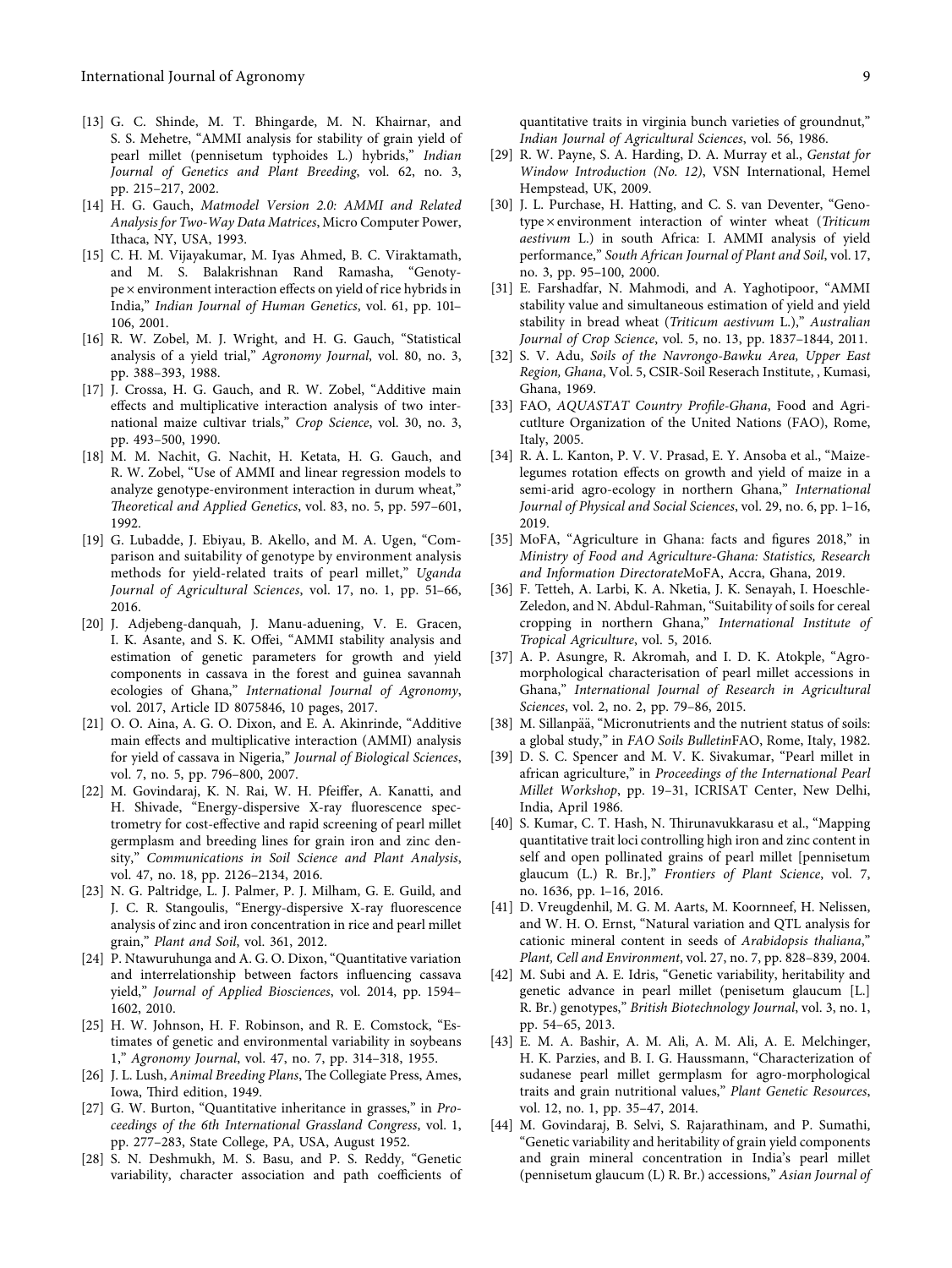- <span id="page-8-0"></span>[13] G. C. Shinde, M. T. Bhingarde, M. N. Khairnar, and S. S. Mehetre, "AMMI analysis for stability of grain yield of pearl millet (pennisetum typhoides L.) hybrids," *Indian Journal of Genetics and Plant Breeding*, vol. 62, no. 3, pp. 215–217, 2002.
- [14] H. G. Gauch, *Matmodel Version 2.0: AMMI and Related Analysis for Two-Way Data Matrices*, Micro Computer Power, Ithaca, NY, USA, 1993.
- [15] C. H. M. Vijayakumar, M. Iyas Ahmed, B. C. Viraktamath, and M. S. Balakrishnan Rand Ramasha, "Genotype × environment interaction effects on yield of rice hybrids in India," *Indian Journal of Human Genetics*, vol. 61, pp. 101– 106, 2001.
- [16] R. W. Zobel, M. J. Wright, and H. G. Gauch, "Statistical analysis of a yield trial," *Agronomy Journal*, vol. 80, no. 3, pp. 388–393, 1988.
- [17] J. Crossa, H. G. Gauch, and R. W. Zobel, "Additive main effects and multiplicative interaction analysis of two international maize cultivar trials," *Crop Science*, vol. 30, no. 3, pp. 493–500, 1990.
- [18] M. M. Nachit, G. Nachit, H. Ketata, H. G. Gauch, and R. W. Zobel, "Use of AMMI and linear regression models to analyze genotype-environment interaction in durum wheat," *Aeoretical and Applied Genetics*, vol. 83, no. 5, pp. 597–601, 1992.
- [19] G. Lubadde, J. Ebiyau, B. Akello, and M. A. Ugen, "Comparison and suitability of genotype by environment analysis methods for yield-related traits of pearl millet," *Uganda Journal of Agricultural Sciences*, vol. 17, no. 1, pp. 51–66, 2016.
- [20] J. Adjebeng-danquah, J. Manu-aduening, V. E. Gracen, I. K. Asante, and S. K. Offei, "AMMI stability analysis and estimation of genetic parameters for growth and yield components in cassava in the forest and guinea savannah ecologies of Ghana," *International Journal of Agronomy*, vol. 2017, Article ID 8075846, 10 pages, 2017.
- [21] O. O. Aina, A. G. O. Dixon, and E. A. Akinrinde, "Additive main effects and multiplicative interaction (AMMI) analysis for yield of cassava in Nigeria," *Journal of Biological Sciences*, vol. 7, no. 5, pp. 796–800, 2007.
- [22] M. Govindaraj, K. N. Rai, W. H. Pfeiffer, A. Kanatti, and H. Shivade, "Energy-dispersive X-ray fluorescence spectrometry for cost-effective and rapid screening of pearl millet germplasm and breeding lines for grain iron and zinc density," *Communications in Soil Science and Plant Analysis*, vol. 47, no. 18, pp. 2126–2134, 2016.
- [23] N. G. Paltridge, L. J. Palmer, P. J. Milham, G. E. Guild, and J. C. R. Stangoulis, "Energy-dispersive X-ray fluorescence analysis of zinc and iron concentration in rice and pearl millet grain," *Plant and Soil*, vol. 361, 2012.
- [24] P. Ntawuruhunga and A. G. O. Dixon, "Quantitative variation and interrelationship between factors influencing cassava yield," *Journal of Applied Biosciences*, vol. 2014, pp. 1594– 1602, 2010.
- [25] H. W. Johnson, H. F. Robinson, and R. E. Comstock, "Estimates of genetic and environmental variability in soybeans 1," *Agronomy Journal*, vol. 47, no. 7, pp. 314–318, 1955.
- [26] J. L. Lush, *Animal Breeding Plans*, The Collegiate Press, Ames, Iowa, Third edition, 1949.
- [27] G. W. Burton, "Quantitative inheritance in grasses," in *Proceedings of the 6th International Grassland Congress*, vol. 1, pp. 277–283, State College, PA, USA, August 1952.
- [28] S. N. Deshmukh, M. S. Basu, and P. S. Reddy, "Genetic variability, character association and path coefficients of
- [29] R. W. Payne, S. A. Harding, D. A. Murray et al., *Genstat for Window Introduction (No. 12)*, VSN International, Hemel Hempstead, UK, 2009.
- [30] J. L. Purchase, H. Hatting, and C. S. van Deventer, "Genotype × environment interaction of winter wheat (*Triticum aestivum* L.) in south Africa: I. AMMI analysis of yield performance," *South African Journal of Plant and Soil*, vol. 17, no. 3, pp. 95–100, 2000.
- [31] E. Farshadfar, N. Mahmodi, and A. Yaghotipoor, "AMMI stability value and simultaneous estimation of yield and yield stability in bread wheat (*Triticum aestivum* L.)," *Australian Journal of Crop Science*, vol. 5, no. 13, pp. 1837–1844, 2011.
- [32] S. V. Adu, *Soils of the Navrongo-Bawku Area, Upper East Region, Ghana*, Vol. 5, CSIR-Soil Reserach Institute, , Kumasi, Ghana, 1969.
- [33] FAO, *AQUASTAT Country Profile-Ghana*, Food and Agricutlture Organization of the United Nations (FAO), Rome, Italy, 2005.
- [34] R. A. L. Kanton, P. V. V. Prasad, E. Y. Ansoba et al., "Maizelegumes rotation effects on growth and yield of maize in a semi-arid agro-ecology in northern Ghana," *International Journal of Physical and Social Sciences*, vol. 29, no. 6, pp. 1–16, 2019.
- [35] MoFA, "Agriculture in Ghana: facts and figures 2018," in *Ministry of Food and Agriculture-Ghana: Statistics, Research and Information Directorate*MoFA, Accra, Ghana, 2019.
- [36] F. Tetteh, A. Larbi, K. A. Nketia, J. K. Senayah, I. Hoeschle-Zeledon, and N. Abdul-Rahman, "Suitability of soils for cereal cropping in northern Ghana," *International Institute of Tropical Agriculture*, vol. 5, 2016.
- [37] A. P. Asungre, R. Akromah, and I. D. K. Atokple, "Agromorphological characterisation of pearl millet accessions in Ghana," *International Journal of Research in Agricultural Sciences*, vol. 2, no. 2, pp. 79–86, 2015.
- [38] M. Sillanpää, "Micronutrients and the nutrient status of soils: a global study," in *FAO Soils Bulletin*FAO, Rome, Italy, 1982.
- [39] D. S. C. Spencer and M. V. K. Sivakumar, "Pearl millet in african agriculture," in *Proceedings of the International Pearl Millet Workshop*, pp. 19–31, ICRISAT Center, New Delhi, India, April 1986.
- [40] S. Kumar, C. T. Hash, N. Thirunavukkarasu et al., "Mapping quantitative trait loci controlling high iron and zinc content in self and open pollinated grains of pearl millet [pennisetum glaucum (L.) R. Br.]," *Frontiers of Plant Science*, vol. 7, no. 1636, pp. 1–16, 2016.
- [41] D. Vreugdenhil, M. G. M. Aarts, M. Koornneef, H. Nelissen, and W. H. O. Ernst, "Natural variation and QTL analysis for cationic mineral content in seeds of *Arabidopsis thaliana*," *Plant, Cell and Environment*, vol. 27, no. 7, pp. 828–839, 2004.
- [42] M. Subi and A. E. Idris, "Genetic variability, heritability and genetic advance in pearl millet (penisetum glaucum [L.] R. Br.) genotypes," *British Biotechnology Journal*, vol. 3, no. 1, pp. 54–65, 2013.
- [43] E. M. A. Bashir, A. M. Ali, A. M. Ali, A. E. Melchinger, H. K. Parzies, and B. I. G. Haussmann, "Characterization of sudanese pearl millet germplasm for agro-morphological traits and grain nutritional values," *Plant Genetic Resources*, vol. 12, no. 1, pp. 35–47, 2014.
- [44] M. Govindaraj, B. Selvi, S. Rajarathinam, and P. Sumathi, "Genetic variability and heritability of grain yield components and grain mineral concentration in India's pearl millet (pennisetum glaucum (L) R. Br.) accessions," *Asian Journal of*